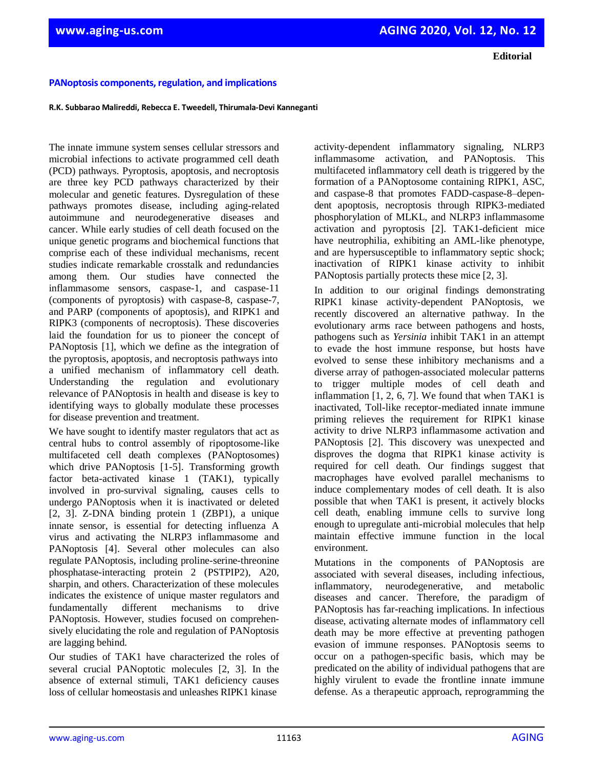**Editorial**

## **PANoptosis components, regulation, and implications**

**R.K. Subbarao Malireddi, Rebecca E. Tweedell, Thirumala-Devi Kanneganti** 

The innate immune system senses cellular stressors and microbial infections to activate programmed cell death (PCD) pathways. Pyroptosis, apoptosis, and necroptosis are three key PCD pathways characterized by their molecular and genetic features. Dysregulation of these pathways promotes disease, including aging-related autoimmune and neurodegenerative diseases and cancer. While early studies of cell death focused on the unique genetic programs and biochemical functions that comprise each of these individual mechanisms, recent studies indicate remarkable crosstalk and redundancies among them. Our studies have connected the inflammasome sensors, caspase-1, and caspase-11 (components of pyroptosis) with caspase-8, caspase-7, and PARP (components of apoptosis), and RIPK1 and RIPK3 (components of necroptosis). These discoveries laid the foundation for us to pioneer the concept of PANoptosis [1], which we define as the integration of the pyroptosis, apoptosis, and necroptosis pathways into a unified mechanism of inflammatory cell death. Understanding the regulation and evolutionary relevance of PANoptosis in health and disease is key to identifying ways to globally modulate these processes for disease prevention and treatment.

We have sought to identify master regulators that act as central hubs to control assembly of ripoptosome-like multifaceted cell death complexes (PANoptosomes) which drive PANoptosis [1-5]. Transforming growth factor beta-activated kinase 1 (TAK1), typically involved in pro-survival signaling, causes cells to undergo PANoptosis when it is inactivated or deleted [2, 3]. Z-DNA binding protein 1 (ZBP1), a unique innate sensor, is essential for detecting influenza A virus and activating the NLRP3 inflammasome and PANoptosis [4]. Several other molecules can also regulate PANoptosis, including proline-serine-threonine phosphatase-interacting protein 2 (PSTPIP2), A20, sharpin, and others. Characterization of these molecules indicates the existence of unique master regulators and fundamentally different mechanisms to drive PANoptosis. However, studies focused on comprehensively elucidating the role and regulation of PANoptosis are lagging behind.

Our studies of TAK1 have characterized the roles of several crucial PANoptotic molecules [2, 3]. In the absence of external stimuli, TAK1 deficiency causes loss of cellular homeostasis and unleashes RIPK1 kinase

activity-dependent inflammatory signaling, NLRP3 inflammasome activation, and PANoptosis. This multifaceted inflammatory cell death is triggered by the formation of a PANoptosome containing RIPK1, ASC, and caspase-8 that promotes FADD-caspase-8–dependent apoptosis, necroptosis through RIPK3-mediated phosphorylation of MLKL, and NLRP3 inflammasome activation and pyroptosis [2]. TAK1-deficient mice have neutrophilia, exhibiting an AML-like phenotype, and are hypersusceptible to inflammatory septic shock; inactivation of RIPK1 kinase activity to inhibit PANoptosis partially protects these mice [2, 3].

In addition to our original findings demonstrating RIPK1 kinase activity-dependent PANoptosis, we recently discovered an alternative pathway. In the evolutionary arms race between pathogens and hosts, pathogens such as *Yersinia* inhibit TAK1 in an attempt to evade the host immune response, but hosts have evolved to sense these inhibitory mechanisms and a diverse array of pathogen-associated molecular patterns to trigger multiple modes of cell death and inflammation  $[1, 2, 6, 7]$ . We found that when TAK1 is inactivated, Toll-like receptor-mediated innate immune priming relieves the requirement for RIPK1 kinase activity to drive NLRP3 inflammasome activation and PANoptosis [2]. This discovery was unexpected and disproves the dogma that RIPK1 kinase activity is required for cell death. Our findings suggest that macrophages have evolved parallel mechanisms to induce complementary modes of cell death. It is also possible that when TAK1 is present, it actively blocks cell death, enabling immune cells to survive long enough to upregulate anti-microbial molecules that help maintain effective immune function in the local environment.

Mutations in the components of PANoptosis are associated with several diseases, including infectious, inflammatory, neurodegenerative, and metabolic diseases and cancer. Therefore, the paradigm of PANoptosis has far-reaching implications. In infectious disease, activating alternate modes of inflammatory cell death may be more effective at preventing pathogen evasion of immune responses. PANoptosis seems to occur on a pathogen-specific basis, which may be predicated on the ability of individual pathogens that are highly virulent to evade the frontline innate immune defense. As a therapeutic approach, reprogramming the